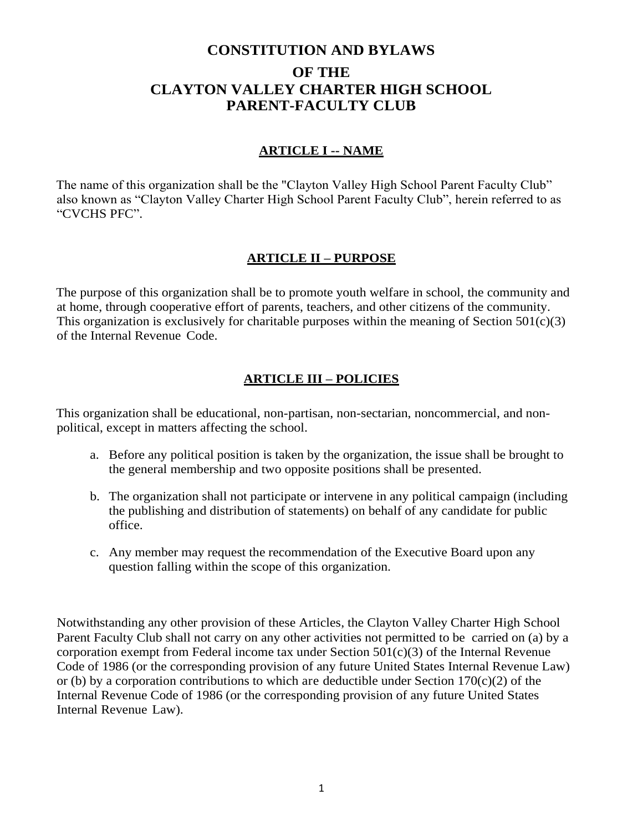# **CONSTITUTION AND BYLAWS OF THE CLAYTON VALLEY CHARTER HIGH SCHOOL PARENT-FACULTY CLUB**

#### **ARTICLE I -- NAME**

The name of this organization shall be the "Clayton Valley High School Parent Faculty Club" also known as "Clayton Valley Charter High School Parent Faculty Club", herein referred to as "CVCHS PFC".

#### **ARTICLE II – PURPOSE**

The purpose of this organization shall be to promote youth welfare in school, the community and at home, through cooperative effort of parents, teachers, and other citizens of the community. This organization is exclusively for charitable purposes within the meaning of Section  $501(c)(3)$ of the Internal Revenue Code.

#### **ARTICLE III – POLICIES**

This organization shall be educational, non-partisan, non-sectarian, noncommercial, and nonpolitical, except in matters affecting the school.

- a. Before any political position is taken by the organization, the issue shall be brought to the general membership and two opposite positions shall be presented.
- b. The organization shall not participate or intervene in any political campaign (including the publishing and distribution of statements) on behalf of any candidate for public office.
- c. Any member may request the recommendation of the Executive Board upon any question falling within the scope of this organization.

Notwithstanding any other provision of these Articles, the Clayton Valley Charter High School Parent Faculty Club shall not carry on any other activities not permitted to be carried on (a) by a corporation exempt from Federal income tax under Section  $501(c)(3)$  of the Internal Revenue Code of 1986 (or the corresponding provision of any future United States Internal Revenue Law) or (b) by a corporation contributions to which are deductible under Section  $170(c)(2)$  of the Internal Revenue Code of 1986 (or the corresponding provision of any future United States Internal Revenue Law).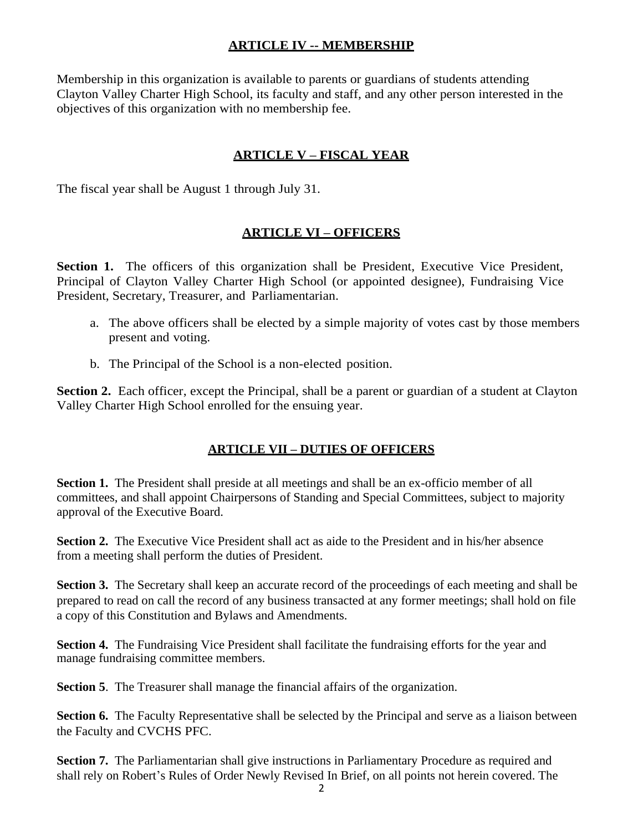#### **ARTICLE IV -- MEMBERSHIP**

Membership in this organization is available to parents or guardians of students attending Clayton Valley Charter High School, its faculty and staff, and any other person interested in the objectives of this organization with no membership fee.

#### **ARTICLE V – FISCAL YEAR**

The fiscal year shall be August 1 through July 31.

#### **ARTICLE VI – OFFICERS**

**Section 1.** The officers of this organization shall be President, Executive Vice President, Principal of Clayton Valley Charter High School (or appointed designee), Fundraising Vice President, Secretary, Treasurer, and Parliamentarian.

- a. The above officers shall be elected by a simple majority of votes cast by those members present and voting.
- b. The Principal of the School is a non-elected position.

**Section 2.** Each officer, except the Principal, shall be a parent or guardian of a student at Clayton Valley Charter High School enrolled for the ensuing year.

## **ARTICLE VII – DUTIES OF OFFICERS**

**Section 1.** The President shall preside at all meetings and shall be an ex-officio member of all committees, and shall appoint Chairpersons of Standing and Special Committees, subject to majority approval of the Executive Board.

**Section 2.** The Executive Vice President shall act as aide to the President and in his/her absence from a meeting shall perform the duties of President.

**Section 3.** The Secretary shall keep an accurate record of the proceedings of each meeting and shall be prepared to read on call the record of any business transacted at any former meetings; shall hold on file a copy of this Constitution and Bylaws and Amendments.

**Section 4.** The Fundraising Vice President shall facilitate the fundraising efforts for the year and manage fundraising committee members.

**Section 5**. The Treasurer shall manage the financial affairs of the organization.

**Section 6.** The Faculty Representative shall be selected by the Principal and serve as a liaison between the Faculty and CVCHS PFC.

**Section 7.** The Parliamentarian shall give instructions in Parliamentary Procedure as required and shall rely on Robert's Rules of Order Newly Revised In Brief, on all points not herein covered. The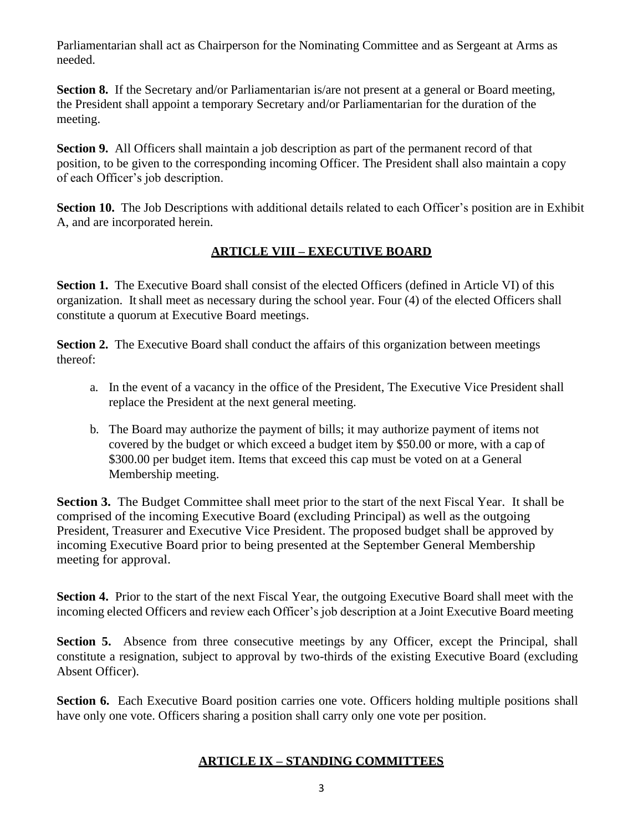Parliamentarian shall act as Chairperson for the Nominating Committee and as Sergeant at Arms as needed.

**Section 8.** If the Secretary and/or Parliamentarian is/are not present at a general or Board meeting, the President shall appoint a temporary Secretary and/or Parliamentarian for the duration of the meeting.

**Section 9.** All Officers shall maintain a job description as part of the permanent record of that position, to be given to the corresponding incoming Officer. The President shall also maintain a copy of each Officer's job description.

Section 10. The Job Descriptions with additional details related to each Officer's position are in Exhibit A, and are incorporated herein.

## **ARTICLE VIII – EXECUTIVE BOARD**

**Section 1.** The Executive Board shall consist of the elected Officers (defined in Article VI) of this organization. It shall meet as necessary during the school year. Four (4) of the elected Officers shall constitute a quorum at Executive Board meetings.

**Section 2.** The Executive Board shall conduct the affairs of this organization between meetings thereof:

- a. In the event of a vacancy in the office of the President, The Executive Vice President shall replace the President at the next general meeting.
- b. The Board may authorize the payment of bills; it may authorize payment of items not covered by the budget or which exceed a budget item by \$50.00 or more, with a cap of \$300.00 per budget item. Items that exceed this cap must be voted on at a General Membership meeting.

**Section 3.** The Budget Committee shall meet prior to the start of the next Fiscal Year. It shall be comprised of the incoming Executive Board (excluding Principal) as well as the outgoing President, Treasurer and Executive Vice President. The proposed budget shall be approved by incoming Executive Board prior to being presented at the September General Membership meeting for approval.

**Section 4.** Prior to the start of the next Fiscal Year, the outgoing Executive Board shall meet with the incoming elected Officers and review each Officer's job description at a Joint Executive Board meeting

**Section 5.** Absence from three consecutive meetings by any Officer, except the Principal, shall constitute a resignation, subject to approval by two-thirds of the existing Executive Board (excluding Absent Officer).

**Section 6.** Each Executive Board position carries one vote. Officers holding multiple positions shall have only one vote. Officers sharing a position shall carry only one vote per position.

#### **ARTICLE IX – STANDING COMMITTEES**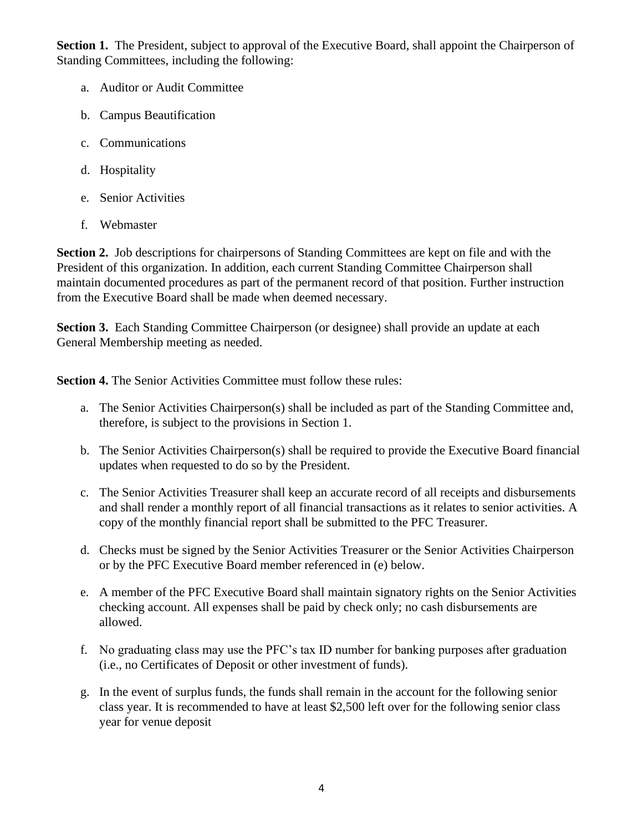**Section 1.** The President, subject to approval of the Executive Board, shall appoint the Chairperson of Standing Committees, including the following:

- a. Auditor or Audit Committee
- b. Campus Beautification
- c. Communications
- d. Hospitality
- e. Senior Activities
- f. Webmaster

**Section 2.** Job descriptions for chairpersons of Standing Committees are kept on file and with the President of this organization. In addition, each current Standing Committee Chairperson shall maintain documented procedures as part of the permanent record of that position. Further instruction from the Executive Board shall be made when deemed necessary.

**Section 3.** Each Standing Committee Chairperson (or designee) shall provide an update at each General Membership meeting as needed.

**Section 4.** The Senior Activities Committee must follow these rules:

- a. The Senior Activities Chairperson(s) shall be included as part of the Standing Committee and, therefore, is subject to the provisions in Section 1.
- b. The Senior Activities Chairperson(s) shall be required to provide the Executive Board financial updates when requested to do so by the President.
- c. The Senior Activities Treasurer shall keep an accurate record of all receipts and disbursements and shall render a monthly report of all financial transactions as it relates to senior activities. A copy of the monthly financial report shall be submitted to the PFC Treasurer.
- d. Checks must be signed by the Senior Activities Treasurer or the Senior Activities Chairperson or by the PFC Executive Board member referenced in (e) below.
- e. A member of the PFC Executive Board shall maintain signatory rights on the Senior Activities checking account. All expenses shall be paid by check only; no cash disbursements are allowed.
- f. No graduating class may use the PFC's tax ID number for banking purposes after graduation (i.e., no Certificates of Deposit or other investment of funds).
- g. In the event of surplus funds, the funds shall remain in the account for the following senior class year. It is recommended to have at least \$2,500 left over for the following senior class year for venue deposit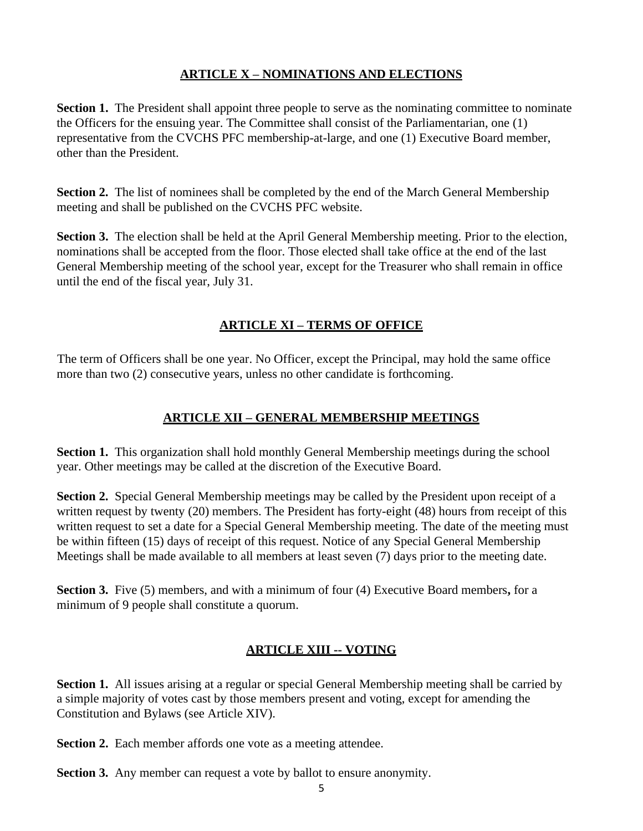## **ARTICLE X – NOMINATIONS AND ELECTIONS**

**Section 1.** The President shall appoint three people to serve as the nominating committee to nominate the Officers for the ensuing year. The Committee shall consist of the Parliamentarian, one (1) representative from the CVCHS PFC membership-at-large, and one (1) Executive Board member, other than the President.

**Section 2.** The list of nominees shall be completed by the end of the March General Membership meeting and shall be published on the CVCHS PFC website.

**Section 3.** The election shall be held at the April General Membership meeting. Prior to the election, nominations shall be accepted from the floor. Those elected shall take office at the end of the last General Membership meeting of the school year, except for the Treasurer who shall remain in office until the end of the fiscal year, July 31.

## **ARTICLE XI – TERMS OF OFFICE**

The term of Officers shall be one year. No Officer, except the Principal, may hold the same office more than two (2) consecutive years, unless no other candidate is forthcoming.

## **ARTICLE XII – GENERAL MEMBERSHIP MEETINGS**

**Section 1.** This organization shall hold monthly General Membership meetings during the school year. Other meetings may be called at the discretion of the Executive Board.

**Section 2.** Special General Membership meetings may be called by the President upon receipt of a written request by twenty (20) members. The President has forty-eight (48) hours from receipt of this written request to set a date for a Special General Membership meeting. The date of the meeting must be within fifteen (15) days of receipt of this request. Notice of any Special General Membership Meetings shall be made available to all members at least seven (7) days prior to the meeting date.

**Section 3.** Five (5) members, and with a minimum of four (4) Executive Board members**,** for a minimum of 9 people shall constitute a quorum.

## **ARTICLE XIII -- VOTING**

**Section 1.** All issues arising at a regular or special General Membership meeting shall be carried by a simple majority of votes cast by those members present and voting, except for amending the Constitution and Bylaws (see Article XIV).

**Section 2.** Each member affords one vote as a meeting attendee.

**Section 3.** Any member can request a vote by ballot to ensure anonymity.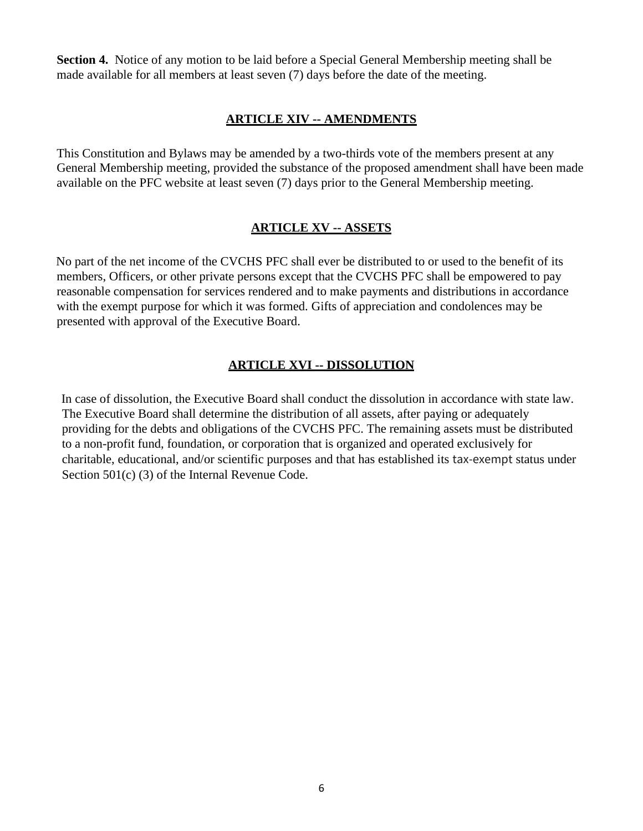**Section 4.** Notice of any motion to be laid before a Special General Membership meeting shall be made available for all members at least seven (7) days before the date of the meeting.

#### **ARTICLE XIV -- AMENDMENTS**

This Constitution and Bylaws may be amended by a two-thirds vote of the members present at any General Membership meeting, provided the substance of the proposed amendment shall have been made available on the PFC website at least seven (7) days prior to the General Membership meeting.

## **ARTICLE XV -- ASSETS**

No part of the net income of the CVCHS PFC shall ever be distributed to or used to the benefit of its members, Officers, or other private persons except that the CVCHS PFC shall be empowered to pay reasonable compensation for services rendered and to make payments and distributions in accordance with the exempt purpose for which it was formed. Gifts of appreciation and condolences may be presented with approval of the Executive Board.

#### **ARTICLE XVI -- DISSOLUTION**

In case of dissolution, the Executive Board shall conduct the dissolution in accordance with state law. The Executive Board shall determine the distribution of all assets, after paying or adequately providing for the debts and obligations of the CVCHS PFC. The remaining assets must be distributed to a non-profit fund, foundation, or corporation that is organized and operated exclusively for charitable, educational, and/or scientific purposes and that has established its tax-exempt status under Section 501(c) (3) of the Internal Revenue Code.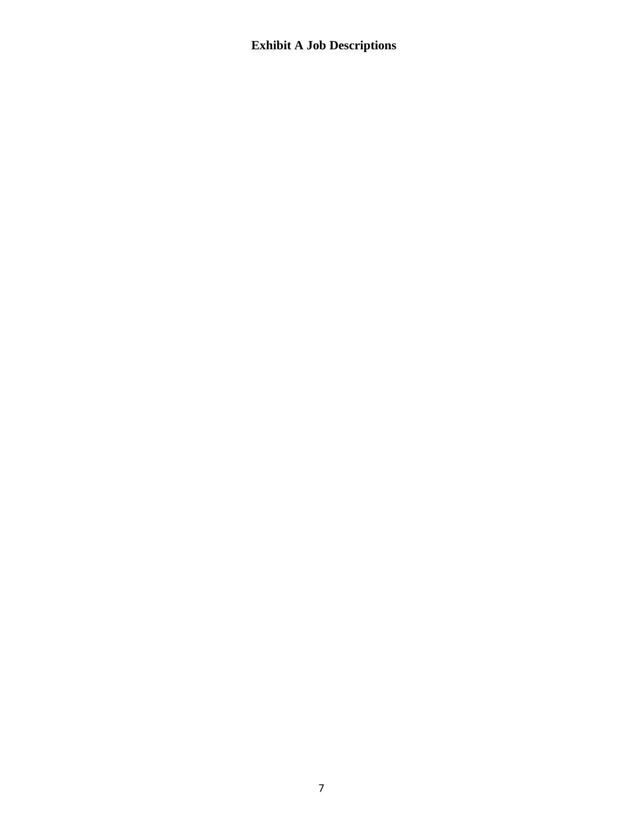# **Exhibit A Job Descriptions**